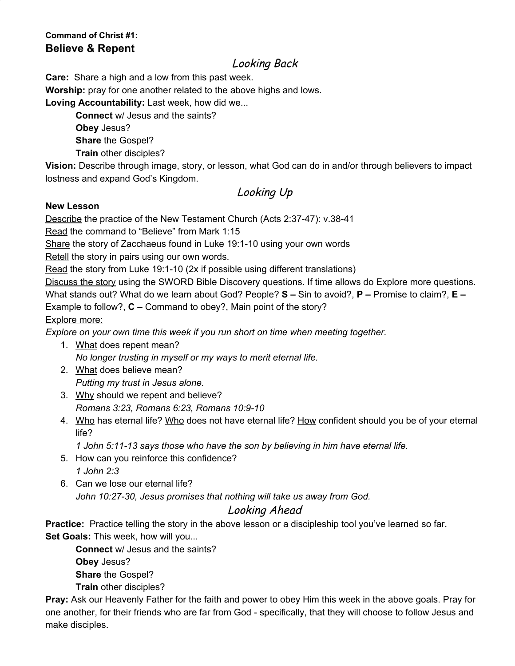## **Command of Christ #1: Believe & Repent**

## Looking Back

**Care:** Share a high and a low from this past week.

**Worship:** pray for one another related to the above highs and lows.

**Loving Accountability:** Last week, how did we...

**Connect** w/ Jesus and the saints? **Obey** Jesus? **Share** the Gospel? **Train** other disciples?

**Vision:** Describe through image, story, or lesson, what God can do in and/or through believers to impact lostness and expand God's Kingdom.

# Looking Up

#### **New Lesson**

Describe the practice of the New Testament Church (Acts 2:37-47): v.38-41

Read the command to "Believe" from Mark 1:15

Share the story of Zacchaeus found in Luke 19:1-10 using your own words

Retell the story in pairs using our own words.

Read the story from Luke 19:1-10 (2x if possible using different translations)

Discuss the story using the SWORD Bible Discovery questions. If time allows do Explore more questions. What stands out? What do we learn about God? People? **S –** Sin to avoid?, **P –** Promise to claim?, **E –**

Example to follow?, **C –** Command to obey?, Main point of the story?

#### Explore more:

*Explore on your own time this week if you run short on time when meeting together.*

- 1. What does repent mean? *No longer trusting in myself or my ways to merit eternal life.*
- 2. What does believe mean? *Putting my trust in Jesus alone.*
- 3. Why should we repent and believe? *Romans 3:23, Romans 6:23, Romans 10:9-10*
- 4. Who has eternal life? Who does not have eternal life? How confident should you be of your eternal life?

*1 John 5:11-13 says those who have the son by believing in him have eternal life.*

- 5. How can you reinforce this confidence? *1 John 2:3*
- 6. Can we lose our eternal life? *John 10:27-30, Jesus promises that nothing will take us away from God.*

#### Looking Ahead

**Practice:** Practice telling the story in the above lesson or a discipleship tool you've learned so far. **Set Goals:** This week, how will you...

**Connect** w/ Jesus and the saints?

**Obey** Jesus?

**Share** the Gospel?

**Train** other disciples?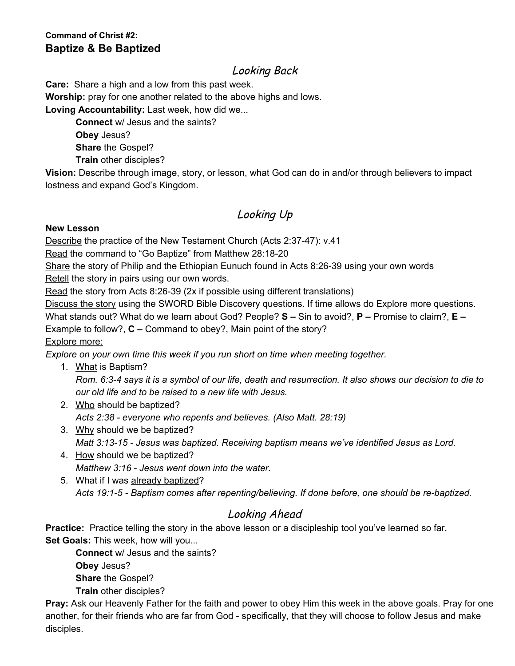#### **Command of Christ #2: Baptize & Be Baptized**

# Looking Back

**Care:** Share a high and a low from this past week.

**Worship:** pray for one another related to the above highs and lows.

**Loving Accountability:** Last week, how did we...

**Connect** w/ Jesus and the saints? **Obey** Jesus?

**Share** the Gospel?

**Train** other disciples?

**Vision:** Describe through image, story, or lesson, what God can do in and/or through believers to impact lostness and expand God's Kingdom.

# Looking Up

#### **New Lesson**

Describe the practice of the New Testament Church (Acts 2:37-47): v.41

Read the command to "Go Baptize" from Matthew 28:18-20

Share the story of Philip and the Ethiopian Eunuch found in Acts 8:26-39 using your own words Retell the story in pairs using our own words.

Read the story from Acts 8:26-39 (2x if possible using different translations)

Discuss the story using the SWORD Bible Discovery questions. If time allows do Explore more questions.

What stands out? What do we learn about God? People? **S –** Sin to avoid?, **P –** Promise to claim?, **E –**

Example to follow?, **C –** Command to obey?, Main point of the story?

Explore more:

*Explore on your own time this week if you run short on time when meeting together.*

- 1. What is Baptism? Rom. 6:3-4 says it is a symbol of our life, death and resurrection. It also shows our decision to die to *our old life and to be raised to a new life with Jesus.*
- 2. Who should be baptized? *Acts 2:38 - everyone who repents and believes. (Also Matt. 28:19)*
- 3. Why should we be baptized? *Matt 3:13-15 - Jesus was baptized. Receiving baptism means we've identified Jesus as Lord.*
- 4. How should we be baptized? *Matthew 3:16 - Jesus went down into the water.*
- 5. What if I was already baptized? *Acts 19:1-5 - Baptism comes after repenting/believing. If done before, one should be re-baptized.*

# Looking Ahead

**Practice:** Practice telling the story in the above lesson or a discipleship tool you've learned so far. **Set Goals:** This week, how will you...

**Connect** w/ Jesus and the saints? **Obey** Jesus? **Share** the Gospel? **Train** other disciples?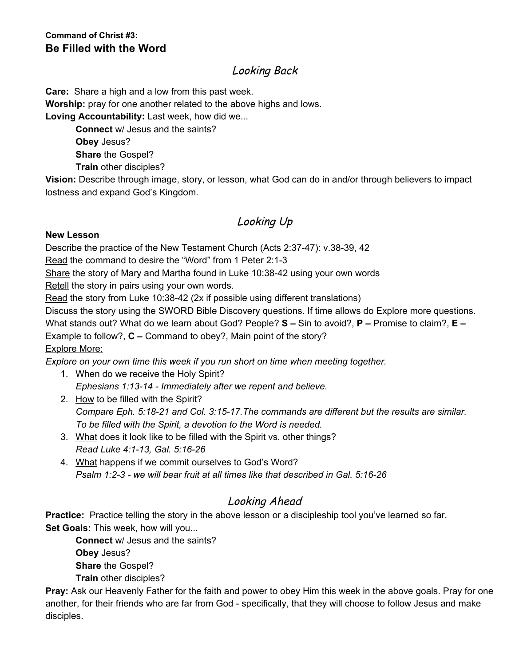#### **Command of Christ #3: Be Filled with the Word**

# Looking Back

**Care:** Share a high and a low from this past week.

**Worship:** pray for one another related to the above highs and lows.

**Loving Accountability:** Last week, how did we...

**Connect** w/ Jesus and the saints?

**Obey** Jesus?

**Share** the Gospel?

**Train** other disciples?

**Vision:** Describe through image, story, or lesson, what God can do in and/or through believers to impact lostness and expand God's Kingdom.

# Looking Up

#### **New Lesson**

Describe the practice of the New Testament Church (Acts 2:37-47): v.38-39, 42

Read the command to desire the "Word" from 1 Peter 2:1-3

Share the story of Mary and Martha found in Luke 10:38-42 using your own words

Retell the story in pairs using your own words.

Read the story from Luke 10:38-42 (2x if possible using different translations)

Discuss the story using the SWORD Bible Discovery questions. If time allows do Explore more questions.

What stands out? What do we learn about God? People? **S –** Sin to avoid?, **P –** Promise to claim?, **E –**

Example to follow?, **C –** Command to obey?, Main point of the story? Explore More:

*Explore on your own time this week if you run short on time when meeting together.*

- 1. When do we receive the Holy Spirit? *Ephesians 1:13-14 - Immediately after we repent and believe.*
- 2. How to be filled with the Spirit? *Compare Eph. 5:18-21 and Col. 3:15-17.The commands are different but the results are similar. To be filled with the Spirit, a devotion to the Word is needed.*
- 3. What does it look like to be filled with the Spirit vs. other things? *Read Luke 4:1-13, Gal. 5:16-26*
- 4. What happens if we commit ourselves to God's Word? *Psalm 1:2-3 - we will bear fruit at all times like that described in Gal. 5:16-26*

# Looking Ahead

**Practice:** Practice telling the story in the above lesson or a discipleship tool you've learned so far. **Set Goals:** This week, how will you...

**Connect** w/ Jesus and the saints? **Obey** Jesus? **Share** the Gospel?

**Train** other disciples?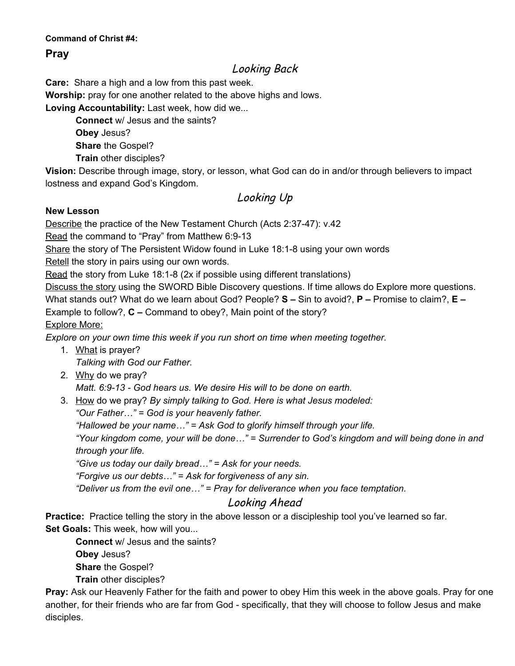#### **Command of Christ #4:**

#### **Pray**

## Looking Back

**Care:** Share a high and a low from this past week.

**Worship:** pray for one another related to the above highs and lows.

**Loving Accountability:** Last week, how did we...

**Connect** w/ Jesus and the saints? **Obey** Jesus? **Share** the Gospel? **Train** other disciples?

**Vision:** Describe through image, story, or lesson, what God can do in and/or through believers to impact lostness and expand God's Kingdom.

Looking Up

#### **New Lesson**

Describe the practice of the New Testament Church (Acts 2:37-47): v.42

Read the command to "Pray" from Matthew 6:9-13

Share the story of The Persistent Widow found in Luke 18:1-8 using your own words

Retell the story in pairs using our own words.

Read the story from Luke 18:1-8 (2x if possible using different translations)

Discuss the story using the SWORD Bible Discovery questions. If time allows do Explore more questions.

What stands out? What do we learn about God? People? **S –** Sin to avoid?, **P –** Promise to claim?, **E –**

Example to follow?, **C –** Command to obey?, Main point of the story?

Explore More:

*Explore on your own time this week if you run short on time when meeting together.*

- 1. What is prayer? *Talking with God our Father.*
- 2. Why do we pray?

*Matt. 6:9-13 - God hears us. We desire His will to be done on earth.*

3. How do we pray? *By simply talking to God. Here is what Jesus modeled:*

*"Our Father…" = God is your heavenly father.*

*"Hallowed be your name…" = Ask God to glorify himself through your life.*

*"Your kingdom come, your will be done…" = Surrender to God's kingdom and will being done in and through your life.*

*"Give us today our daily bread…" = Ask for your needs.*

*"Forgive us our debts…" = Ask for forgiveness of any sin.*

*"Deliver us from the evil one…" = Pray for deliverance when you face temptation.*

## Looking Ahead

**Practice:** Practice telling the story in the above lesson or a discipleship tool you've learned so far. **Set Goals:** This week, how will you...

**Connect** w/ Jesus and the saints? **Obey** Jesus? **Share** the Gospel?

**Train** other disciples?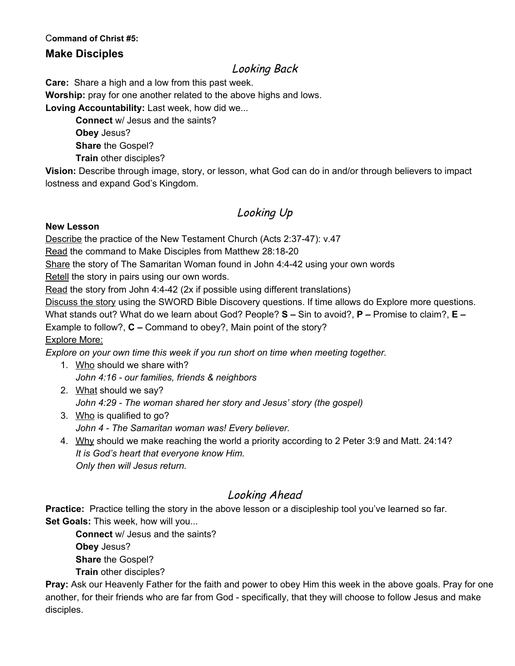#### C**ommand of Christ #5:**

#### **Make Disciples**

### Looking Back

**Care:** Share a high and a low from this past week.

**Worship:** pray for one another related to the above highs and lows.

**Loving Accountability:** Last week, how did we...

**Connect** w/ Jesus and the saints? **Obey** Jesus? **Share** the Gospel? **Train** other disciples?

**Vision:** Describe through image, story, or lesson, what God can do in and/or through believers to impact lostness and expand God's Kingdom.

## Looking Up

#### **New Lesson**

Describe the practice of the New Testament Church (Acts 2:37-47): v.47

Read the command to Make Disciples from Matthew 28:18-20

Share the story of The Samaritan Woman found in John 4:4-42 using your own words

Retell the story in pairs using our own words.

Read the story from John 4:4-42 (2x if possible using different translations)

Discuss the story using the SWORD Bible Discovery questions. If time allows do Explore more questions.

What stands out? What do we learn about God? People? **S –** Sin to avoid?, **P –** Promise to claim?, **E –**

Example to follow?, **C –** Command to obey?, Main point of the story?

Explore More:

*Explore on your own time this week if you run short on time when meeting together.*

- 1. Who should we share with? *John 4:16 - our families, friends & neighbors*
- 2. What should we say? *John 4:29 - The woman shared her story and Jesus' story (the gospel)*
- 3. Who is qualified to go?
	- *John 4 - The Samaritan woman was! Every believer.*
- 4. Why should we make reaching the world a priority according to 2 Peter 3:9 and Matt. 24:14? *It is God's heart that everyone know Him. Only then will Jesus return.*

## Looking Ahead

**Practice:** Practice telling the story in the above lesson or a discipleship tool you've learned so far. **Set Goals:** This week, how will you...

**Connect** w/ Jesus and the saints? **Obey** Jesus? **Share** the Gospel? **Train** other disciples?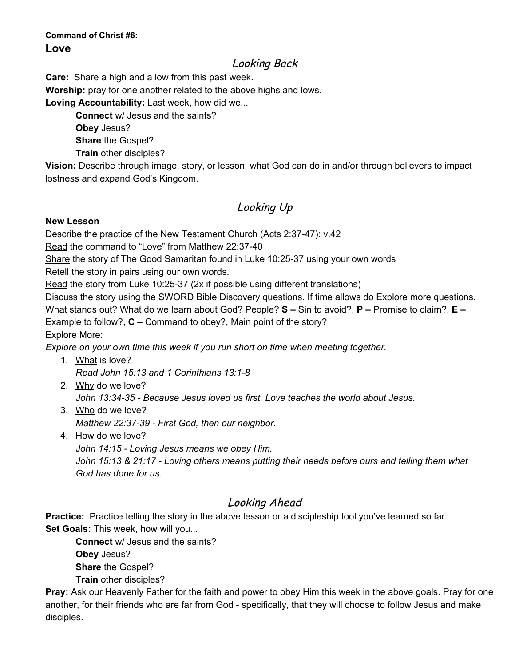### **Command of Christ #6: Love**

## Looking Back

**Care:** Share a high and a low from this past week.

**Worship:** pray for one another related to the above highs and lows.

**Loving Accountability:** Last week, how did we...

**Connect** w/ Jesus and the saints? **Obey** Jesus?

**Share** the Gospel?

**Train** other disciples?

**Vision:** Describe through image, story, or lesson, what God can do in and/or through believers to impact lostness and expand God's Kingdom.

# Looking Up

#### **New Lesson**

Describe the practice of the New Testament Church (Acts 2:37-47): v.42

Read the command to "Love" from Matthew 22:37-40

Share the story of The Good Samaritan found in Luke 10:25-37 using your own words

Retell the story in pairs using our own words.

Read the story from Luke 10:25-37 (2x if possible using different translations)

Discuss the story using the SWORD Bible Discovery questions. If time allows do Explore more questions. What stands out? What do we learn about God? People? **S –** Sin to avoid?, **P –** Promise to claim?, **E –**

Example to follow?, **C –** Command to obey?, Main point of the story?

Explore More:

*Explore on your own time this week if you run short on time when meeting together.*

- 1. What is love? *Read John 15:13 and 1 Corinthians 13:1-8*
- 2. Why do we love? *John 13:34-35 - Because Jesus loved us first. Love teaches the world about Jesus.*
- 3. Who do we love? *Matthew 22:37-39 - First God, then our neighbor.*
- 4. How do we love?

*John 14:15 - Loving Jesus means we obey Him.*

*John 15:13 & 21:17 - Loving others means putting their needs before ours and telling them what God has done for us.*

# Looking Ahead

**Practice:** Practice telling the story in the above lesson or a discipleship tool you've learned so far. **Set Goals:** This week, how will you...

**Connect** w/ Jesus and the saints? **Obey** Jesus? **Share** the Gospel? **Train** other disciples?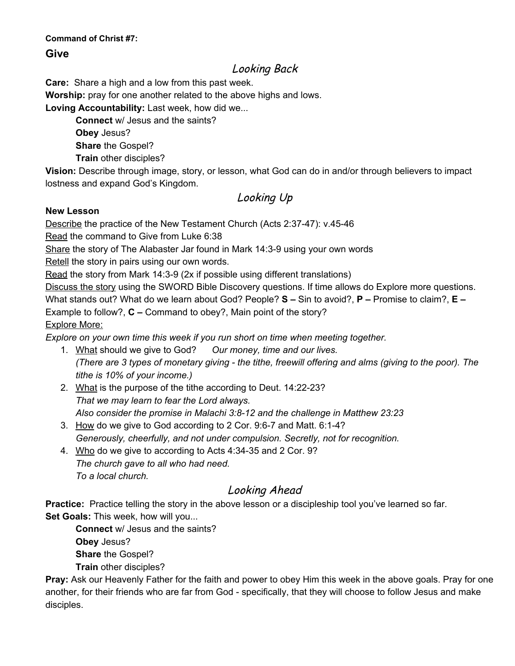#### **Command of Christ #7:**

#### **Give**

## Looking Back

**Care:** Share a high and a low from this past week.

**Worship:** pray for one another related to the above highs and lows.

**Loving Accountability:** Last week, how did we...

**Connect** w/ Jesus and the saints? **Obey** Jesus? **Share** the Gospel? **Train** other disciples?

**Vision:** Describe through image, story, or lesson, what God can do in and/or through believers to impact lostness and expand God's Kingdom.

## Looking Up

#### **New Lesson**

Describe the practice of the New Testament Church (Acts 2:37-47): v.45-46

Read the command to Give from Luke 6:38

Share the story of The Alabaster Jar found in Mark 14:3-9 using your own words

Retell the story in pairs using our own words.

Read the story from Mark 14:3-9 (2x if possible using different translations)

Discuss the story using the SWORD Bible Discovery questions. If time allows do Explore more questions. What stands out? What do we learn about God? People? **S –** Sin to avoid?, **P –** Promise to claim?, **E –**

Example to follow?, **C –** Command to obey?, Main point of the story?

Explore More:

*Explore on your own time this week if you run short on time when meeting together.*

- 1. What should we give to God? *Our money, time and our lives.* (There are 3 types of monetary giving - the tithe, freewill offering and alms (giving to the poor). The *tithe is 10% of your income.)*
- 2. What is the purpose of the tithe according to Deut. 14:22-23? *That we may learn to fear the Lord always. Also consider the promise in Malachi 3:8-12 and the challenge in Matthew 23:23*
- 3. How do we give to God according to 2 Cor. 9:6-7 and Matt. 6:1-4? *Generously, cheerfully, and not under compulsion. Secretly, not for recognition.*
- 4. Who do we give to according to Acts 4:34-35 and 2 Cor. 9? *The church gave to all who had need. To a local church.*

# Looking Ahead

**Practice:** Practice telling the story in the above lesson or a discipleship tool you've learned so far. **Set Goals:** This week, how will you...

**Connect** w/ Jesus and the saints? **Obey** Jesus? **Share** the Gospel? **Train** other disciples?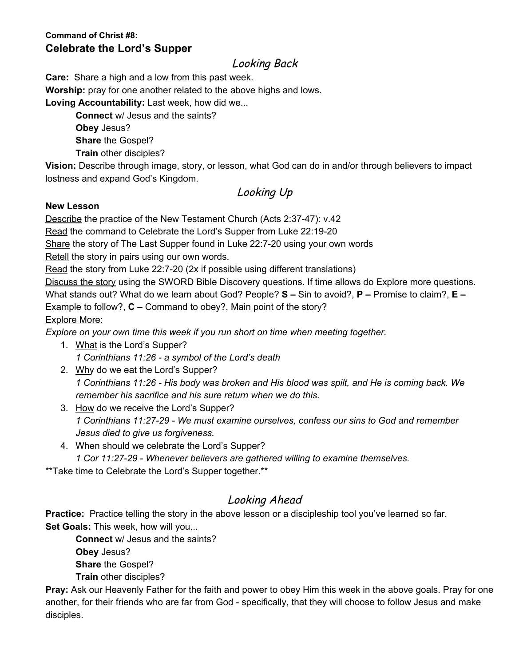### **Command of Christ #8: Celebrate the Lord's Supper**

### Looking Back

**Care:** Share a high and a low from this past week.

**Worship:** pray for one another related to the above highs and lows.

**Loving Accountability:** Last week, how did we...

**Connect** w/ Jesus and the saints? **Obey** Jesus? **Share** the Gospel? **Train** other disciples?

**Vision:** Describe through image, story, or lesson, what God can do in and/or through believers to impact lostness and expand God's Kingdom.

# Looking Up

#### **New Lesson**

Describe the practice of the New Testament Church (Acts 2:37-47): v.42

Read the command to Celebrate the Lord's Supper from Luke 22:19-20

Share the story of The Last Supper found in Luke 22:7-20 using your own words

Retell the story in pairs using our own words.

Read the story from Luke 22:7-20 (2x if possible using different translations)

Discuss the story using the SWORD Bible Discovery questions. If time allows do Explore more questions. What stands out? What do we learn about God? People? **S –** Sin to avoid?, **P –** Promise to claim?, **E –** Example to follow?, **C –** Command to obey?, Main point of the story? Explore More:

*Explore on your own time this week if you run short on time when meeting together.*

- 1. What is the Lord's Supper? *1 Corinthians 11:26 - a symbol of the Lord's death*
- 2. Why do we eat the Lord's Supper? 1 Corinthians 11:26 - His body was broken and His blood was spilt, and He is coming back. We *remember his sacrifice and his sure return when we do this.*
- 3. How do we receive the Lord's Supper? *1 Corinthians 11:27-29 - We must examine ourselves, confess our sins to God and remember Jesus died to give us forgiveness.*
- 4. When should we celebrate the Lord's Supper?
	- *1 Cor 11:27-29 - Whenever believers are gathered willing to examine themselves.*

\*\*Take time to Celebrate the Lord's Supper together.\*\*

# Looking Ahead

**Practice:** Practice telling the story in the above lesson or a discipleship tool you've learned so far. **Set Goals:** This week, how will you...

**Connect** w/ Jesus and the saints? **Obey** Jesus? **Share** the Gospel?

**Train** other disciples?